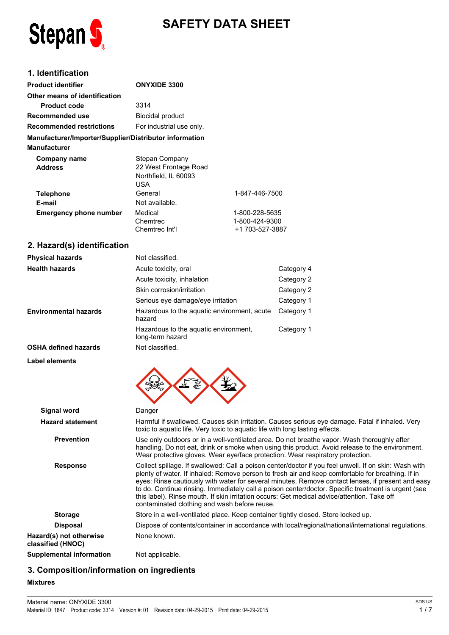

# **SAFETY DATA SHEET**

# **1. Identification**

**Environmental hazards**

**OSHA defined hazards** Not classified.

| <b>Product identifier</b>                              | <b>ONYXIDE 3300</b>                                                           |                                                     |
|--------------------------------------------------------|-------------------------------------------------------------------------------|-----------------------------------------------------|
| Other means of identification                          |                                                                               |                                                     |
| <b>Product code</b>                                    | 3314                                                                          |                                                     |
| Recommended use                                        | <b>Biocidal product</b>                                                       |                                                     |
| <b>Recommended restrictions</b>                        | For industrial use only.                                                      |                                                     |
| Manufacturer/Importer/Supplier/Distributor information |                                                                               |                                                     |
| Manufacturer                                           |                                                                               |                                                     |
| <b>Company name</b><br><b>Address</b>                  | Stepan Company<br>22 West Frontage Road<br>Northfield, IL 60093<br><b>USA</b> |                                                     |
| <b>Telephone</b>                                       | General                                                                       | 1-847-446-7500                                      |
| E-mail                                                 | Not available.                                                                |                                                     |
| <b>Emergency phone number</b>                          | Medical<br>Chemtrec<br>Chemtrec Int'l                                         | 1-800-228-5635<br>1-800-424-9300<br>+1 703-527-3887 |
| 2. Hazard(s) identification                            |                                                                               |                                                     |
| <b>Physical hazards</b>                                | Not classified.                                                               |                                                     |
| <b>Health hazards</b>                                  | Acute toxicity, oral                                                          | Category 4                                          |
|                                                        | Acute toxicity, inhalation                                                    | Category 2                                          |
|                                                        | Skin corrosion/irritation                                                     | Category 2                                          |
|                                                        | Serious eye damage/eye irritation                                             | Category 1                                          |

hazard

long-term hazard

| <b>Label elements</b>                        | $\mathbf{v}$                                                                                                                                                                                                                                                                                                                                                                                                                                                                                                                                                          |
|----------------------------------------------|-----------------------------------------------------------------------------------------------------------------------------------------------------------------------------------------------------------------------------------------------------------------------------------------------------------------------------------------------------------------------------------------------------------------------------------------------------------------------------------------------------------------------------------------------------------------------|
| <b>Signal word</b>                           | Danger                                                                                                                                                                                                                                                                                                                                                                                                                                                                                                                                                                |
| <b>Hazard statement</b>                      | Harmful if swallowed. Causes skin irritation. Causes serious eye damage. Fatal if inhaled. Very<br>toxic to aquatic life. Very toxic to aquatic life with long lasting effects.                                                                                                                                                                                                                                                                                                                                                                                       |
| <b>Prevention</b>                            | Use only outdoors or in a well-ventilated area. Do not breathe vapor. Wash thoroughly after<br>handling. Do not eat, drink or smoke when using this product. Avoid release to the environment.<br>Wear protective gloves. Wear eye/face protection. Wear respiratory protection.                                                                                                                                                                                                                                                                                      |
| <b>Response</b>                              | Collect spillage. If swallowed: Call a poison center/doctor if you feel unwell. If on skin: Wash with<br>plenty of water. If inhaled: Remove person to fresh air and keep comfortable for breathing. If in<br>eyes: Rinse cautiously with water for several minutes. Remove contact lenses, if present and easy<br>to do. Continue rinsing. Immediately call a poison center/doctor. Specific treatment is urgent (see<br>this label). Rinse mouth. If skin irritation occurs: Get medical advice/attention. Take off<br>contaminated clothing and wash before reuse. |
| <b>Storage</b>                               | Store in a well-ventilated place. Keep container tightly closed. Store locked up.                                                                                                                                                                                                                                                                                                                                                                                                                                                                                     |
| <b>Disposal</b>                              | Dispose of contents/container in accordance with local/regional/national/international regulations.                                                                                                                                                                                                                                                                                                                                                                                                                                                                   |
| Hazard(s) not otherwise<br>classified (HNOC) | None known.                                                                                                                                                                                                                                                                                                                                                                                                                                                                                                                                                           |
| <b>Supplemental information</b>              | Not applicable.                                                                                                                                                                                                                                                                                                                                                                                                                                                                                                                                                       |

Hazardous to the aquatic environment, acute Category 1

Hazardous to the aquatic environment, Category 1

### **3. Composition/information on ingredients**

### **Mixtures**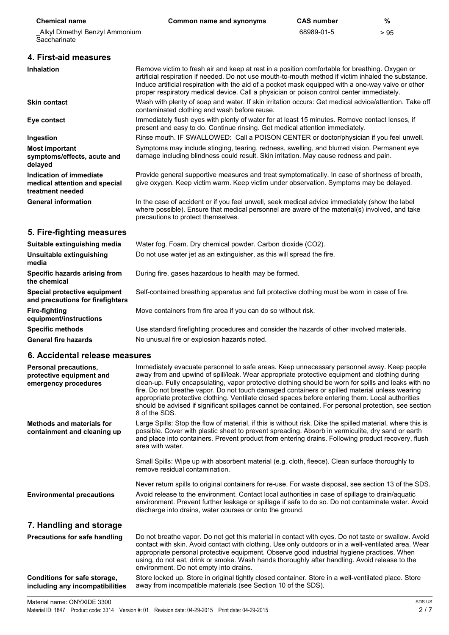| <b>Chemical name</b>                                                         | <b>Common name and synonyms</b>                                                                                                                                                                                                                                                                                                                                                                                                                                                                                                                                                                                                    | <b>CAS number</b> | %    |
|------------------------------------------------------------------------------|------------------------------------------------------------------------------------------------------------------------------------------------------------------------------------------------------------------------------------------------------------------------------------------------------------------------------------------------------------------------------------------------------------------------------------------------------------------------------------------------------------------------------------------------------------------------------------------------------------------------------------|-------------------|------|
| Alkyl Dimethyl Benzyl Ammonium<br>Saccharinate                               |                                                                                                                                                                                                                                                                                                                                                                                                                                                                                                                                                                                                                                    | 68989-01-5        | > 95 |
| 4. First-aid measures                                                        |                                                                                                                                                                                                                                                                                                                                                                                                                                                                                                                                                                                                                                    |                   |      |
| <b>Inhalation</b>                                                            | Remove victim to fresh air and keep at rest in a position comfortable for breathing. Oxygen or<br>artificial respiration if needed. Do not use mouth-to-mouth method if victim inhaled the substance.<br>Induce artificial respiration with the aid of a pocket mask equipped with a one-way valve or other<br>proper respiratory medical device. Call a physician or poison control center immediately.                                                                                                                                                                                                                           |                   |      |
| <b>Skin contact</b>                                                          | Wash with plenty of soap and water. If skin irritation occurs: Get medical advice/attention. Take off<br>contaminated clothing and wash before reuse.                                                                                                                                                                                                                                                                                                                                                                                                                                                                              |                   |      |
| Eye contact                                                                  | Immediately flush eyes with plenty of water for at least 15 minutes. Remove contact lenses, if<br>present and easy to do. Continue rinsing. Get medical attention immediately.                                                                                                                                                                                                                                                                                                                                                                                                                                                     |                   |      |
| Ingestion                                                                    | Rinse mouth. IF SWALLOWED: Call a POISON CENTER or doctor/physician if you feel unwell.                                                                                                                                                                                                                                                                                                                                                                                                                                                                                                                                            |                   |      |
| <b>Most important</b><br>symptoms/effects, acute and<br>delayed              | Symptoms may include stinging, tearing, redness, swelling, and blurred vision. Permanent eye<br>damage including blindness could result. Skin irritation. May cause redness and pain.                                                                                                                                                                                                                                                                                                                                                                                                                                              |                   |      |
| Indication of immediate<br>medical attention and special<br>treatment needed | Provide general supportive measures and treat symptomatically. In case of shortness of breath,<br>give oxygen. Keep victim warm. Keep victim under observation. Symptoms may be delayed.                                                                                                                                                                                                                                                                                                                                                                                                                                           |                   |      |
| <b>General information</b>                                                   | In the case of accident or if you feel unwell, seek medical advice immediately (show the label<br>where possible). Ensure that medical personnel are aware of the material(s) involved, and take<br>precautions to protect themselves.                                                                                                                                                                                                                                                                                                                                                                                             |                   |      |
| 5. Fire-fighting measures                                                    |                                                                                                                                                                                                                                                                                                                                                                                                                                                                                                                                                                                                                                    |                   |      |
| Suitable extinguishing media                                                 | Water fog. Foam. Dry chemical powder. Carbon dioxide (CO2).                                                                                                                                                                                                                                                                                                                                                                                                                                                                                                                                                                        |                   |      |
| Unsuitable extinguishing<br>media                                            | Do not use water jet as an extinguisher, as this will spread the fire.                                                                                                                                                                                                                                                                                                                                                                                                                                                                                                                                                             |                   |      |
| Specific hazards arising from<br>the chemical                                | During fire, gases hazardous to health may be formed.                                                                                                                                                                                                                                                                                                                                                                                                                                                                                                                                                                              |                   |      |
| Special protective equipment<br>and precautions for firefighters             | Self-contained breathing apparatus and full protective clothing must be worn in case of fire.                                                                                                                                                                                                                                                                                                                                                                                                                                                                                                                                      |                   |      |
| <b>Fire-fighting</b><br>equipment/instructions                               | Move containers from fire area if you can do so without risk.                                                                                                                                                                                                                                                                                                                                                                                                                                                                                                                                                                      |                   |      |
| <b>Specific methods</b>                                                      | Use standard firefighting procedures and consider the hazards of other involved materials.                                                                                                                                                                                                                                                                                                                                                                                                                                                                                                                                         |                   |      |
| <b>General fire hazards</b>                                                  | No unusual fire or explosion hazards noted.                                                                                                                                                                                                                                                                                                                                                                                                                                                                                                                                                                                        |                   |      |
| 6. Accidental release measures                                               |                                                                                                                                                                                                                                                                                                                                                                                                                                                                                                                                                                                                                                    |                   |      |
| Personal precautions,<br>protective equipment and<br>emergency procedures    | Immediately evacuate personnel to safe areas. Keep unnecessary personnel away. Keep people<br>away from and upwind of spill/leak. Wear appropriate protective equipment and clothing during<br>clean-up. Fully encapsulating, vapor protective clothing should be worn for spills and leaks with no<br>fire. Do not breathe vapor. Do not touch damaged containers or spilled material unless wearing<br>appropriate protective clothing. Ventilate closed spaces before entering them. Local authorities<br>should be advised if significant spillages cannot be contained. For personal protection, see section<br>8 of the SDS. |                   |      |
| <b>Methods and materials for</b><br>containment and cleaning up              | Large Spills: Stop the flow of material, if this is without risk. Dike the spilled material, where this is<br>possible. Cover with plastic sheet to prevent spreading. Absorb in vermiculite, dry sand or earth<br>and place into containers. Prevent product from entering drains. Following product recovery, flush<br>area with water.                                                                                                                                                                                                                                                                                          |                   |      |
|                                                                              | Small Spills: Wipe up with absorbent material (e.g. cloth, fleece). Clean surface thoroughly to<br>remove residual contamination.                                                                                                                                                                                                                                                                                                                                                                                                                                                                                                  |                   |      |

Never return spills to original containers for re-use. For waste disposal, see section 13 of the SDS. **Environmental precautions** Avoid release to the environment. Contact local authorities in case of spillage to drain/aquatic environment. Prevent further leakage or spillage if safe to do so. Do not contaminate water. Avoid discharge into drains, water courses or onto the ground.

### **7. Handling and storage**

| <b>Precautions for safe handling</b> | Do not breathe vapor. Do not get this material in contact with eyes. Do not taste or swallow. Avoid<br>contact with skin. Avoid contact with clothing. Use only outdoors or in a well-ventilated area. Wear<br>appropriate personal protective equipment. Observe good industrial hygiene practices. When<br>using, do not eat, drink or smoke. Wash hands thoroughly after handling. Avoid release to the<br>environment. Do not empty into drains. |
|--------------------------------------|------------------------------------------------------------------------------------------------------------------------------------------------------------------------------------------------------------------------------------------------------------------------------------------------------------------------------------------------------------------------------------------------------------------------------------------------------|
| Conditions for safe storage,         | Store locked up. Store in original tightly closed container. Store in a well-ventilated place. Store                                                                                                                                                                                                                                                                                                                                                 |
| including any incompatibilities      | away from incompatible materials (see Section 10 of the SDS).                                                                                                                                                                                                                                                                                                                                                                                        |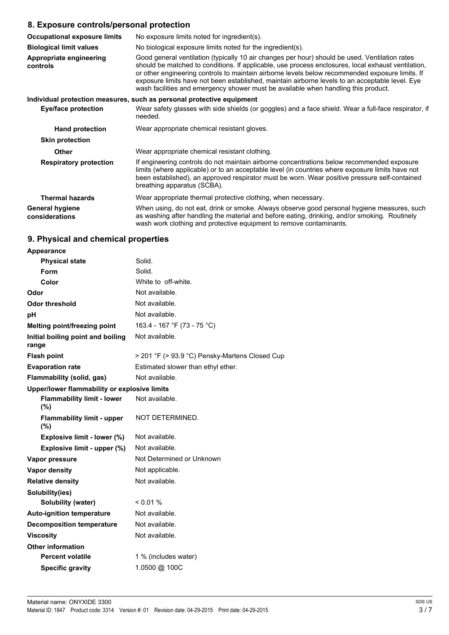### **8. Exposure controls/personal protection**

| <b>Occupational exposure limits</b>      | No exposure limits noted for ingredient(s).                                                                                                                                                                                                                                                                                                                                                                                                                                                      |  |
|------------------------------------------|--------------------------------------------------------------------------------------------------------------------------------------------------------------------------------------------------------------------------------------------------------------------------------------------------------------------------------------------------------------------------------------------------------------------------------------------------------------------------------------------------|--|
| <b>Biological limit values</b>           | No biological exposure limits noted for the ingredient(s).                                                                                                                                                                                                                                                                                                                                                                                                                                       |  |
| Appropriate engineering<br>controls      | Good general ventilation (typically 10 air changes per hour) should be used. Ventilation rates<br>should be matched to conditions. If applicable, use process enclosures, local exhaust ventilation,<br>or other engineering controls to maintain airborne levels below recommended exposure limits. If<br>exposure limits have not been established, maintain airborne levels to an acceptable level. Eye<br>wash facilities and emergency shower must be available when handling this product. |  |
|                                          | Individual protection measures, such as personal protective equipment                                                                                                                                                                                                                                                                                                                                                                                                                            |  |
| Eye/face protection                      | Wear safety glasses with side shields (or goggles) and a face shield. Wear a full-face respirator, if<br>needed.                                                                                                                                                                                                                                                                                                                                                                                 |  |
| <b>Hand protection</b>                   | Wear appropriate chemical resistant gloves.                                                                                                                                                                                                                                                                                                                                                                                                                                                      |  |
| <b>Skin protection</b>                   |                                                                                                                                                                                                                                                                                                                                                                                                                                                                                                  |  |
| <b>Other</b>                             | Wear appropriate chemical resistant clothing.                                                                                                                                                                                                                                                                                                                                                                                                                                                    |  |
| <b>Respiratory protection</b>            | If engineering controls do not maintain airborne concentrations below recommended exposure<br>limits (where applicable) or to an acceptable level (in countries where exposure limits have not<br>been established), an approved respirator must be worn. Wear positive pressure self-contained<br>breathing apparatus (SCBA).                                                                                                                                                                   |  |
| <b>Thermal hazards</b>                   | Wear appropriate thermal protective clothing, when necessary.                                                                                                                                                                                                                                                                                                                                                                                                                                    |  |
| <b>General hygiene</b><br>considerations | When using, do not eat, drink or smoke. Always observe good personal hygiene measures, such<br>as washing after handling the material and before eating, drinking, and/or smoking. Routinely<br>wash work clothing and protective equipment to remove contaminants.                                                                                                                                                                                                                              |  |

# **9. Physical and chemical properties**

| Appearance                                   |                                                |
|----------------------------------------------|------------------------------------------------|
| <b>Physical state</b>                        | Solid.                                         |
| Form                                         | Solid.                                         |
| Color                                        | White to off-white.                            |
| Odor                                         | Not available.                                 |
| <b>Odor threshold</b>                        | Not available.                                 |
| рH                                           | Not available.                                 |
| <b>Melting point/freezing point</b>          | 163.4 - 167 °F (73 - 75 °C)                    |
| Initial boiling point and boiling<br>range   | Not available.                                 |
| <b>Flash point</b>                           | > 201 °F (> 93.9 °C) Pensky-Martens Closed Cup |
| <b>Evaporation rate</b>                      | Estimated slower than ethyl ether.             |
| <b>Flammability (solid, gas)</b>             | Not available.                                 |
| Upper/lower flammability or explosive limits |                                                |
| <b>Flammability limit - lower</b><br>(%)     | Not available.                                 |
| <b>Flammability limit - upper</b><br>(%)     | NOT DETERMINED.                                |
| Explosive limit - lower (%)                  | Not available.                                 |
| Explosive limit - upper (%)                  | Not available.                                 |
| Vapor pressure                               | Not Determined or Unknown                      |
| <b>Vapor density</b>                         | Not applicable.                                |
| <b>Relative density</b>                      | Not available.                                 |
| Solubility(ies)                              |                                                |
| Solubility (water)                           | $< 0.01 \%$                                    |
| <b>Auto-ignition temperature</b>             | Not available.                                 |
| <b>Decomposition temperature</b>             | Not available.                                 |
| <b>Viscosity</b>                             | Not available.                                 |
| <b>Other information</b>                     |                                                |
| <b>Percent volatile</b>                      | 1 % (includes water)                           |
| <b>Specific gravity</b>                      | 1.0500 @ 100C                                  |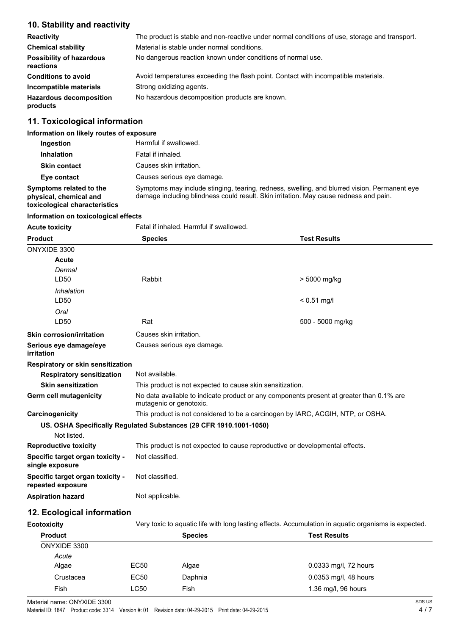# **10. Stability and reactivity**

| <b>Reactivity</b>                            | The product is stable and non-reactive under normal conditions of use, storage and transport. |
|----------------------------------------------|-----------------------------------------------------------------------------------------------|
| <b>Chemical stability</b>                    | Material is stable under normal conditions.                                                   |
| <b>Possibility of hazardous</b><br>reactions | No dangerous reaction known under conditions of normal use.                                   |
| <b>Conditions to avoid</b>                   | Avoid temperatures exceeding the flash point. Contact with incompatible materials.            |
| Incompatible materials                       | Strong oxidizing agents.                                                                      |
| <b>Hazardous decomposition</b><br>products   | No hazardous decomposition products are known.                                                |

### **11. Toxicological information**

# **Information on likely routes of exposure**

| Ingestion                                         | Harmful if swallowed.                                                                                                                                                                 |
|---------------------------------------------------|---------------------------------------------------------------------------------------------------------------------------------------------------------------------------------------|
| <b>Inhalation</b>                                 | Fatal if inhaled.                                                                                                                                                                     |
| <b>Skin contact</b>                               | Causes skin irritation.                                                                                                                                                               |
| Eye contact                                       | Causes serious eye damage.                                                                                                                                                            |
| Symptoms related to the<br>physical, chemical and | Symptoms may include stinging, tearing, redness, swelling, and blurred vision. Permanent eye<br>damage including blindness could result. Skin irritation. May cause redness and pain. |

**toxicological characteristics**

#### **Information on toxicological effects**

| <b>Acute toxicity</b>                                 | Fatal if inhaled. Harmful if swallowed.                                                                             |                     |
|-------------------------------------------------------|---------------------------------------------------------------------------------------------------------------------|---------------------|
| <b>Product</b>                                        | <b>Species</b>                                                                                                      | <b>Test Results</b> |
| ONYXIDE 3300                                          |                                                                                                                     |                     |
| Acute                                                 |                                                                                                                     |                     |
| Dermal                                                |                                                                                                                     |                     |
| LD <sub>50</sub>                                      | Rabbit                                                                                                              | > 5000 mg/kg        |
| Inhalation                                            |                                                                                                                     |                     |
| LD50                                                  |                                                                                                                     | $< 0.51$ mg/l       |
| Oral                                                  |                                                                                                                     |                     |
| LD50                                                  | Rat                                                                                                                 | 500 - 5000 mg/kg    |
| <b>Skin corrosion/irritation</b>                      | Causes skin irritation.                                                                                             |                     |
| Serious eye damage/eye<br>irritation                  | Causes serious eye damage.                                                                                          |                     |
| <b>Respiratory or skin sensitization</b>              |                                                                                                                     |                     |
| <b>Respiratory sensitization</b>                      | Not available.                                                                                                      |                     |
| <b>Skin sensitization</b>                             | This product is not expected to cause skin sensitization.                                                           |                     |
| <b>Germ cell mutagenicity</b>                         | No data available to indicate product or any components present at greater than 0.1% are<br>mutagenic or genotoxic. |                     |
| Carcinogenicity                                       | This product is not considered to be a carcinogen by IARC, ACGIH, NTP, or OSHA.                                     |                     |
|                                                       | US. OSHA Specifically Regulated Substances (29 CFR 1910.1001-1050)                                                  |                     |
| Not listed.                                           |                                                                                                                     |                     |
| <b>Reproductive toxicity</b>                          | This product is not expected to cause reproductive or developmental effects.                                        |                     |
| Specific target organ toxicity -<br>single exposure   | Not classified.                                                                                                     |                     |
| Specific target organ toxicity -<br>repeated exposure | Not classified.                                                                                                     |                     |
| <b>Aspiration hazard</b>                              | Not applicable.                                                                                                     |                     |

# **12. Ecological information**

| Very toxic to aquatic life with long lasting effects. Accumulation in aquatic organisms is expected.<br>Ecotoxicity |                |                       |
|---------------------------------------------------------------------------------------------------------------------|----------------|-----------------------|
|                                                                                                                     | <b>Species</b> | <b>Test Results</b>   |
|                                                                                                                     |                |                       |
|                                                                                                                     |                |                       |
| EC50                                                                                                                | Algae          | 0.0333 mg/l, 72 hours |
| EC50                                                                                                                | Daphnia        | 0.0353 mg/l, 48 hours |
| LC50                                                                                                                | Fish           | 1.36 mg/l, 96 hours   |
|                                                                                                                     |                |                       |

Material name: ONYXIDE 3300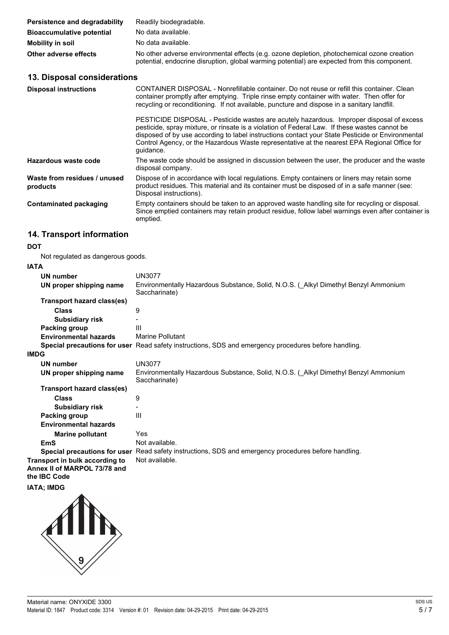| Persistence and degradability    | Readily biodegradable.                                                                                                                                                                     |
|----------------------------------|--------------------------------------------------------------------------------------------------------------------------------------------------------------------------------------------|
| <b>Bioaccumulative potential</b> | No data available.                                                                                                                                                                         |
| Mobility in soil                 | No data available.                                                                                                                                                                         |
| Other adverse effects            | No other adverse environmental effects (e.g. ozone depletion, photochemical ozone creation<br>potential, endocrine disruption, global warming potential) are expected from this component. |

### **13. Disposal considerations**

| <b>Disposal instructions</b>             | CONTAINER DISPOSAL - Nonrefillable container. Do not reuse or refill this container. Clean<br>container promptly after emptying. Triple rinse empty container with water. Then offer for<br>recycling or reconditioning. If not available, puncture and dispose in a sanitary landfill.                                                                                                                    |
|------------------------------------------|------------------------------------------------------------------------------------------------------------------------------------------------------------------------------------------------------------------------------------------------------------------------------------------------------------------------------------------------------------------------------------------------------------|
|                                          | PESTICIDE DISPOSAL - Pesticide wastes are acutely hazardous. Improper disposal of excess<br>pesticide, spray mixture, or rinsate is a violation of Federal Law. If these wastes cannot be<br>disposed of by use according to label instructions contact your State Pesticide or Environmental<br>Control Agency, or the Hazardous Waste representative at the nearest EPA Regional Office for<br>quidance. |
| Hazardous waste code                     | The waste code should be assigned in discussion between the user, the producer and the waste<br>disposal company.                                                                                                                                                                                                                                                                                          |
| Waste from residues / unused<br>products | Dispose of in accordance with local regulations. Empty containers or liners may retain some<br>product residues. This material and its container must be disposed of in a safe manner (see:<br>Disposal instructions).                                                                                                                                                                                     |
| Contaminated packaging                   | Empty containers should be taken to an approved waste handling site for recycling or disposal.<br>Since emptied containers may retain product residue, follow label warnings even after container is<br>emptied.                                                                                                                                                                                           |

### **14. Transport information**

#### **DOT**

Not regulated as dangerous goods.

#### **IATA**

| <b>IAIA</b>                                                                    |                                                                                                      |
|--------------------------------------------------------------------------------|------------------------------------------------------------------------------------------------------|
| <b>UN number</b>                                                               | <b>UN3077</b>                                                                                        |
| UN proper shipping name                                                        | Environmentally Hazardous Substance, Solid, N.O.S. (_Alkyl Dimethyl Benzyl Ammonium<br>Saccharinate) |
| Transport hazard class(es)                                                     |                                                                                                      |
| Class                                                                          | 9                                                                                                    |
| <b>Subsidiary risk</b>                                                         |                                                                                                      |
| Packing group                                                                  | Ш                                                                                                    |
| <b>Environmental hazards</b>                                                   | Marine Pollutant                                                                                     |
|                                                                                | Special precautions for user Read safety instructions, SDS and emergency procedures before handling. |
| <b>IMDG</b>                                                                    |                                                                                                      |
| <b>UN number</b>                                                               | <b>UN3077</b>                                                                                        |
| UN proper shipping name                                                        | Environmentally Hazardous Substance, Solid, N.O.S. (Alkyl Dimethyl Benzyl Ammonium<br>Saccharinate)  |
| Transport hazard class(es)                                                     |                                                                                                      |
| Class                                                                          | 9                                                                                                    |
| <b>Subsidiary risk</b>                                                         |                                                                                                      |
| Packing group                                                                  | Ш                                                                                                    |
| <b>Environmental hazards</b>                                                   |                                                                                                      |
| <b>Marine pollutant</b>                                                        | Yes                                                                                                  |
| <b>EmS</b>                                                                     | Not available.                                                                                       |
|                                                                                | Special precautions for user Read safety instructions, SDS and emergency procedures before handling. |
| Transport in bulk according to<br>Annex II of MARPOL 73/78 and<br>the IBC Code | Not available.                                                                                       |

### **IATA; IMDG**

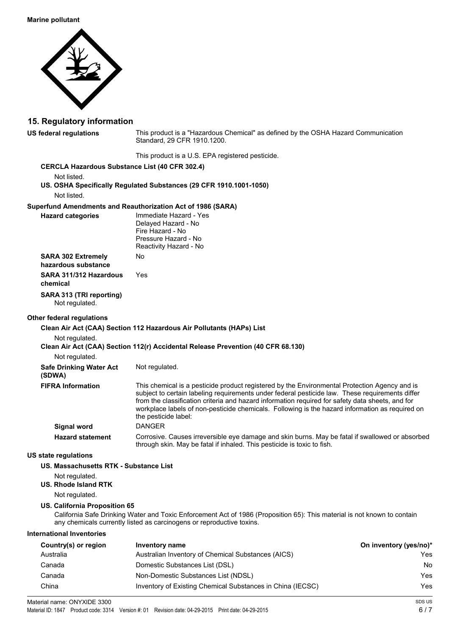#### **Marine pollutant**



### **15. Regulatory information**

**US federal regulations** This product is a "Hazardous Chemical" as defined by the OSHA Hazard Communication Standard, 29 CFR 1910.1200.

|                                                       | This product is a U.S. EPA registered pesticide.                                                                                                                                                                                                                                                                                                                                                                                |                        |
|-------------------------------------------------------|---------------------------------------------------------------------------------------------------------------------------------------------------------------------------------------------------------------------------------------------------------------------------------------------------------------------------------------------------------------------------------------------------------------------------------|------------------------|
| <b>CERCLA Hazardous Substance List (40 CFR 302.4)</b> |                                                                                                                                                                                                                                                                                                                                                                                                                                 |                        |
| Not listed.<br>Not listed.                            | US. OSHA Specifically Regulated Substances (29 CFR 1910.1001-1050)                                                                                                                                                                                                                                                                                                                                                              |                        |
|                                                       | Superfund Amendments and Reauthorization Act of 1986 (SARA)                                                                                                                                                                                                                                                                                                                                                                     |                        |
| <b>Hazard categories</b>                              | Immediate Hazard - Yes<br>Delaved Hazard - No<br>Fire Hazard - No<br>Pressure Hazard - No<br>Reactivity Hazard - No                                                                                                                                                                                                                                                                                                             |                        |
| <b>SARA 302 Extremely</b><br>hazardous substance      | No                                                                                                                                                                                                                                                                                                                                                                                                                              |                        |
| SARA 311/312 Hazardous<br>chemical                    | Yes                                                                                                                                                                                                                                                                                                                                                                                                                             |                        |
| SARA 313 (TRI reporting)<br>Not regulated.            |                                                                                                                                                                                                                                                                                                                                                                                                                                 |                        |
| Other federal regulations                             |                                                                                                                                                                                                                                                                                                                                                                                                                                 |                        |
|                                                       | Clean Air Act (CAA) Section 112 Hazardous Air Pollutants (HAPs) List                                                                                                                                                                                                                                                                                                                                                            |                        |
| Not regulated.<br>Not regulated.                      | Clean Air Act (CAA) Section 112(r) Accidental Release Prevention (40 CFR 68.130)                                                                                                                                                                                                                                                                                                                                                |                        |
| <b>Safe Drinking Water Act</b>                        | Not regulated.                                                                                                                                                                                                                                                                                                                                                                                                                  |                        |
| (SDWA)                                                |                                                                                                                                                                                                                                                                                                                                                                                                                                 |                        |
| <b>FIFRA Information</b>                              | This chemical is a pesticide product registered by the Environmental Protection Agency and is<br>subject to certain labeling requirements under federal pesticide law. These requirements differ<br>from the classification criteria and hazard information required for safety data sheets, and for<br>workplace labels of non-pesticide chemicals. Following is the hazard information as required on<br>the pesticide label: |                        |
| <b>Signal word</b>                                    | <b>DANGER</b>                                                                                                                                                                                                                                                                                                                                                                                                                   |                        |
| <b>Hazard statement</b>                               | Corrosive. Causes irreversible eye damage and skin burns. May be fatal if swallowed or absorbed<br>through skin. May be fatal if inhaled. This pesticide is toxic to fish.                                                                                                                                                                                                                                                      |                        |
| <b>US state regulations</b>                           |                                                                                                                                                                                                                                                                                                                                                                                                                                 |                        |
| US. Massachusetts RTK - Substance List                |                                                                                                                                                                                                                                                                                                                                                                                                                                 |                        |
| Not regulated.<br>US. Rhode Island RTK                |                                                                                                                                                                                                                                                                                                                                                                                                                                 |                        |
| Not regulated.                                        |                                                                                                                                                                                                                                                                                                                                                                                                                                 |                        |
| US. California Proposition 65                         | California Safe Drinking Water and Toxic Enforcement Act of 1986 (Proposition 65): This material is not known to contain<br>any chemicals currently listed as carcinogens or reproductive toxins.                                                                                                                                                                                                                               |                        |
| <b>International Inventories</b>                      |                                                                                                                                                                                                                                                                                                                                                                                                                                 |                        |
| Country(s) or region                                  | Inventory name                                                                                                                                                                                                                                                                                                                                                                                                                  | On inventory (yes/no)* |
| Australia                                             | Australian Inventory of Chemical Substances (AICS)                                                                                                                                                                                                                                                                                                                                                                              | Yes                    |
| Canada                                                | Domestic Substances List (DSL)                                                                                                                                                                                                                                                                                                                                                                                                  | No.                    |
| Canada                                                | Non-Domestic Substances List (NDSL)                                                                                                                                                                                                                                                                                                                                                                                             | Yes                    |

China Inventory of Existing Chemical Substances in China (IECSC) Yes